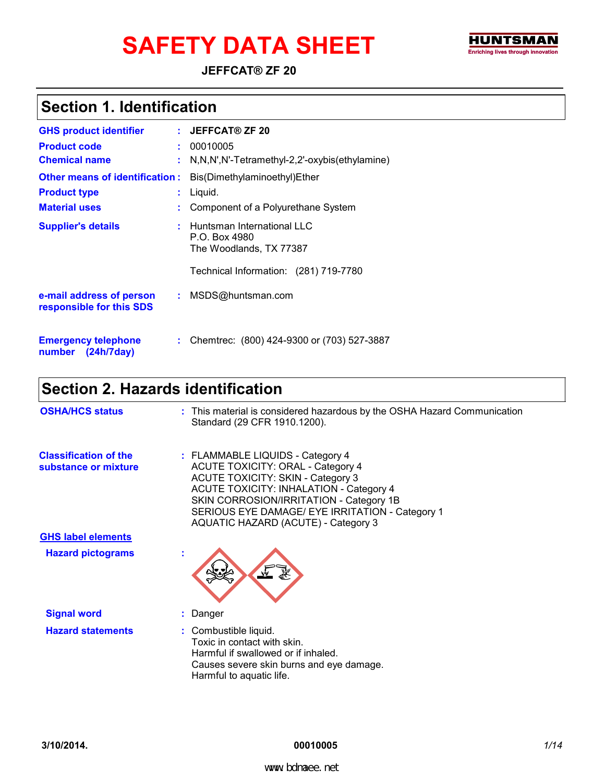# SAFETY DATA SHEET FINDING THE TRIVIS MAN ENTERING THE TRIVIS (NO ADDRESS) AND ENTERING IN INTERNATION



**JEFFCAT® ZF 20**

### **Section 1. Identification**

| <b>GHS product identifier</b>                        | $:$ JEFFCAT® ZF 20                                                       |
|------------------------------------------------------|--------------------------------------------------------------------------|
| <b>Product code</b>                                  | 00010005                                                                 |
| <b>Chemical name</b>                                 | : N,N,N',N'-Tetramethyl-2,2'-oxybis(ethylamine)                          |
| <b>Other means of identification:</b>                | Bis(Dimethylaminoethyl)Ether                                             |
| <b>Product type</b>                                  | Liquid.                                                                  |
| <b>Material uses</b>                                 | Component of a Polyurethane System                                       |
| <b>Supplier's details</b>                            | : Huntsman International LLC<br>P.O. Box 4980<br>The Woodlands, TX 77387 |
|                                                      | Technical Information: (281) 719-7780                                    |
| e-mail address of person<br>responsible for this SDS | : MSDS@huntsman.com                                                      |
| <b>Emergency telephone</b><br>number (24h/7day)      | : Chemtrec: (800) 424-9300 or (703) 527-3887                             |

### **Section 2. Hazards identification**

| <b>OSHA/HCS status</b>                               | : This material is considered hazardous by the OSHA Hazard Communication<br>Standard (29 CFR 1910.1200).                                                                                                                                                                                                        |
|------------------------------------------------------|-----------------------------------------------------------------------------------------------------------------------------------------------------------------------------------------------------------------------------------------------------------------------------------------------------------------|
| <b>Classification of the</b><br>substance or mixture | : FLAMMABLE LIQUIDS - Category 4<br><b>ACUTE TOXICITY: ORAL - Category 4</b><br><b>ACUTE TOXICITY: SKIN - Category 3</b><br><b>ACUTE TOXICITY: INHALATION - Category 4</b><br>SKIN CORROSION/IRRITATION - Category 1B<br>SERIOUS EYE DAMAGE/ EYE IRRITATION - Category 1<br>AQUATIC HAZARD (ACUTE) - Category 3 |
| <b>GHS label elements</b>                            |                                                                                                                                                                                                                                                                                                                 |
| <b>Hazard pictograms</b>                             |                                                                                                                                                                                                                                                                                                                 |
| <b>Signal word</b>                                   | : Danger                                                                                                                                                                                                                                                                                                        |
| <b>Hazard statements</b>                             | : Combustible liquid.<br>Toxic in contact with skin.<br>Harmful if swallowed or if inhaled.<br>Causes severe skin burns and eye damage.<br>Harmful to aquatic life.                                                                                                                                             |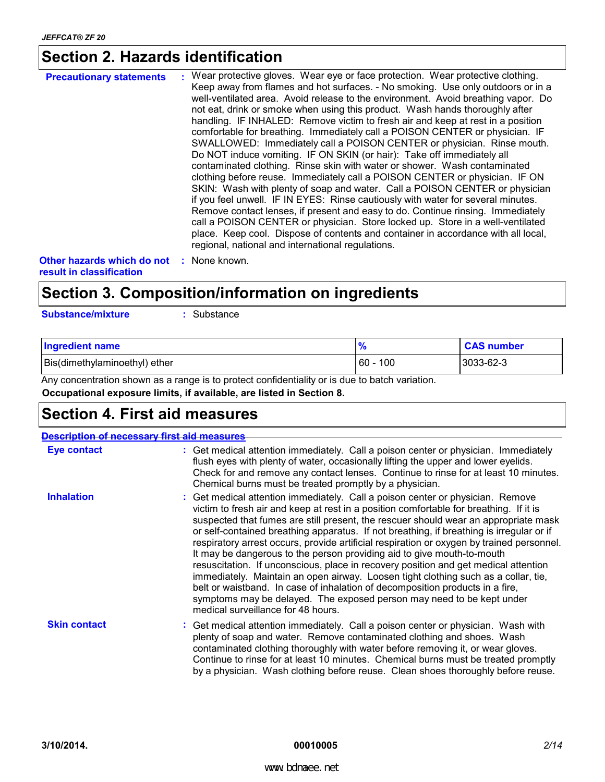### **Section 2. Hazards identification**

| <b>Precautionary statements</b> | : Wear protective gloves. Wear eye or face protection. Wear protective clothing.                                                                                                                                                                                                                                                                                                                                                                                                                                                                                                                                                                         |
|---------------------------------|----------------------------------------------------------------------------------------------------------------------------------------------------------------------------------------------------------------------------------------------------------------------------------------------------------------------------------------------------------------------------------------------------------------------------------------------------------------------------------------------------------------------------------------------------------------------------------------------------------------------------------------------------------|
|                                 | Keep away from flames and hot surfaces. - No smoking. Use only outdoors or in a<br>well-ventilated area. Avoid release to the environment. Avoid breathing vapor. Do<br>not eat, drink or smoke when using this product. Wash hands thoroughly after<br>handling. IF INHALED: Remove victim to fresh air and keep at rest in a position<br>comfortable for breathing. Immediately call a POISON CENTER or physician. IF<br>SWALLOWED: Immediately call a POISON CENTER or physician. Rinse mouth.<br>Do NOT induce vomiting. IF ON SKIN (or hair): Take off immediately all<br>contaminated clothing. Rinse skin with water or shower. Wash contaminated |
|                                 | clothing before reuse. Immediately call a POISON CENTER or physician. IF ON<br>SKIN: Wash with plenty of soap and water. Call a POISON CENTER or physician<br>if you feel unwell. IF IN EYES: Rinse cautiously with water for several minutes.<br>Remove contact lenses, if present and easy to do. Continue rinsing. Immediately<br>call a POISON CENTER or physician. Store locked up. Store in a well-ventilated<br>place. Keep cool. Dispose of contents and container in accordance with all local,<br>regional, national and international regulations.                                                                                            |

**Other hazards which do not : None known. result in classification**

### **Section 3. Composition/information on ingredients**

**Substance/mixture :** Substance

| <b>Ingredient name</b>        |           | <b>CAS number</b> |
|-------------------------------|-----------|-------------------|
| Bis(dimethylaminoethyl) ether | 100<br>60 | 3033-62-3         |

**Occupational exposure limits, if available, are listed in Section 8.** Any concentration shown as a range is to protect confidentiality or is due to batch variation.

### **Section 4. First aid measures**

|                     | ription of necessary first aid measures                                                                                                                                                                                                                                                                                                                                                                                                                                                                                                                                                                                                                                                                                                                                                                                                                                                                         |
|---------------------|-----------------------------------------------------------------------------------------------------------------------------------------------------------------------------------------------------------------------------------------------------------------------------------------------------------------------------------------------------------------------------------------------------------------------------------------------------------------------------------------------------------------------------------------------------------------------------------------------------------------------------------------------------------------------------------------------------------------------------------------------------------------------------------------------------------------------------------------------------------------------------------------------------------------|
| <b>Eye contact</b>  | : Get medical attention immediately. Call a poison center or physician. Immediately<br>flush eyes with plenty of water, occasionally lifting the upper and lower eyelids.<br>Check for and remove any contact lenses. Continue to rinse for at least 10 minutes.<br>Chemical burns must be treated promptly by a physician.                                                                                                                                                                                                                                                                                                                                                                                                                                                                                                                                                                                     |
| <b>Inhalation</b>   | : Get medical attention immediately. Call a poison center or physician. Remove<br>victim to fresh air and keep at rest in a position comfortable for breathing. If it is<br>suspected that fumes are still present, the rescuer should wear an appropriate mask<br>or self-contained breathing apparatus. If not breathing, if breathing is irregular or if<br>respiratory arrest occurs, provide artificial respiration or oxygen by trained personnel.<br>It may be dangerous to the person providing aid to give mouth-to-mouth<br>resuscitation. If unconscious, place in recovery position and get medical attention<br>immediately. Maintain an open airway. Loosen tight clothing such as a collar, tie,<br>belt or waistband. In case of inhalation of decomposition products in a fire,<br>symptoms may be delayed. The exposed person may need to be kept under<br>medical surveillance for 48 hours. |
| <b>Skin contact</b> | : Get medical attention immediately. Call a poison center or physician. Wash with<br>plenty of soap and water. Remove contaminated clothing and shoes. Wash<br>contaminated clothing thoroughly with water before removing it, or wear gloves.<br>Continue to rinse for at least 10 minutes. Chemical burns must be treated promptly<br>by a physician. Wash clothing before reuse. Clean shoes thoroughly before reuse.                                                                                                                                                                                                                                                                                                                                                                                                                                                                                        |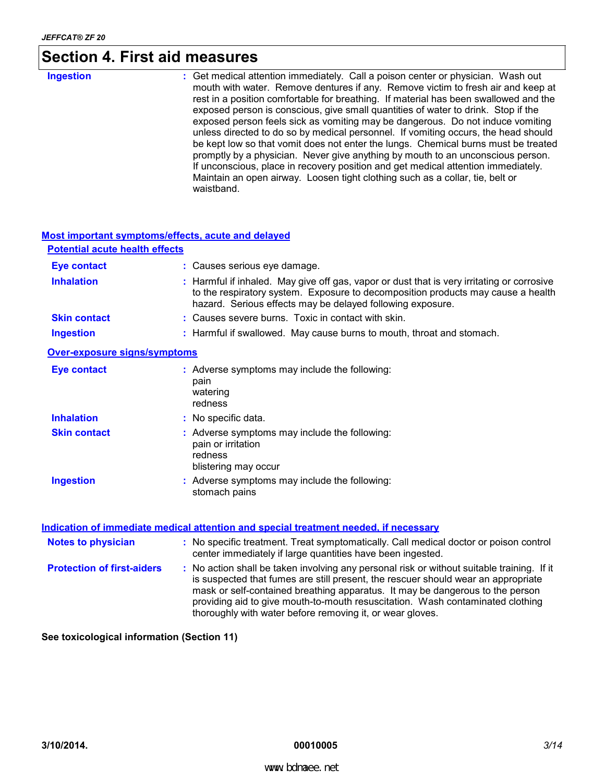## **Section 4. First aid measures**

| <b>Ingestion</b> | : Get medical attention immediately. Call a poison center or physician. Wash out<br>mouth with water. Remove dentures if any. Remove victim to fresh air and keep at<br>rest in a position comfortable for breathing. If material has been swallowed and the<br>exposed person is conscious, give small quantities of water to drink. Stop if the<br>exposed person feels sick as vomiting may be dangerous. Do not induce vomiting<br>unless directed to do so by medical personnel. If vomiting occurs, the head should<br>be kept low so that vomit does not enter the lungs. Chemical burns must be treated<br>promptly by a physician. Never give anything by mouth to an unconscious person. |
|------------------|----------------------------------------------------------------------------------------------------------------------------------------------------------------------------------------------------------------------------------------------------------------------------------------------------------------------------------------------------------------------------------------------------------------------------------------------------------------------------------------------------------------------------------------------------------------------------------------------------------------------------------------------------------------------------------------------------|
|                  | If unconscious, place in recovery position and get medical attention immediately.<br>Maintain an open airway. Loosen tight clothing such as a collar, tie, belt or<br>waistband.                                                                                                                                                                                                                                                                                                                                                                                                                                                                                                                   |

| Most important symptoms/effects, acute and delayed |                                                                                                                                                                                                                                                                                                                                                    |
|----------------------------------------------------|----------------------------------------------------------------------------------------------------------------------------------------------------------------------------------------------------------------------------------------------------------------------------------------------------------------------------------------------------|
| <b>Potential acute health effects</b>              |                                                                                                                                                                                                                                                                                                                                                    |
| <b>Eye contact</b>                                 | : Causes serious eye damage.                                                                                                                                                                                                                                                                                                                       |
| <b>Inhalation</b>                                  | : Harmful if inhaled. May give off gas, vapor or dust that is very irritating or corrosive<br>to the respiratory system. Exposure to decomposition products may cause a health<br>hazard. Serious effects may be delayed following exposure.                                                                                                       |
| <b>Skin contact</b>                                | : Causes severe burns. Toxic in contact with skin.                                                                                                                                                                                                                                                                                                 |
| <b>Ingestion</b>                                   | : Harmful if swallowed. May cause burns to mouth, throat and stomach.                                                                                                                                                                                                                                                                              |
| <b>Over-exposure signs/symptoms</b>                |                                                                                                                                                                                                                                                                                                                                                    |
| <b>Eye contact</b>                                 | : Adverse symptoms may include the following:<br>pain<br>watering<br>redness                                                                                                                                                                                                                                                                       |
| <b>Inhalation</b>                                  | : No specific data.                                                                                                                                                                                                                                                                                                                                |
| <b>Skin contact</b>                                | : Adverse symptoms may include the following:<br>pain or irritation<br>redness<br>blistering may occur                                                                                                                                                                                                                                             |
| <b>Ingestion</b>                                   | : Adverse symptoms may include the following:<br>stomach pains                                                                                                                                                                                                                                                                                     |
|                                                    | Indication of immediate medical attention and special treatment needed, if necessary                                                                                                                                                                                                                                                               |
| <b>Notes to physician</b>                          | : No specific treatment. Treat symptomatically. Call medical doctor or poison control<br>center immediately if large quantities have been ingested.                                                                                                                                                                                                |
| <b>Protection of first-aiders</b>                  | : No action shall be taken involving any personal risk or without suitable training. If it<br>is suspected that fumes are still present, the rescuer should wear an appropriate<br>mask or self-contained breathing apparatus. It may be dangerous to the person<br>providing aid to give mouth-to-mouth resuscitation. Wash contaminated clothing |

**See toxicological information (Section 11)**

thoroughly with water before removing it, or wear gloves.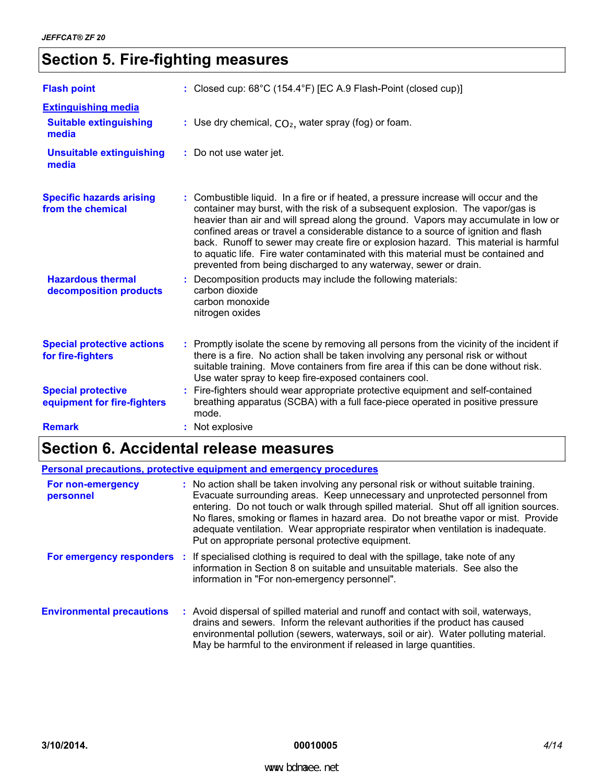### **Section 5. Fire-fighting measures**

| <b>Flash point</b>                                       | : Closed cup: 68°C (154.4°F) [EC A.9 Flash-Point (closed cup)]                                                                                                                                                                                                                                                                                                                                                                                                                                                                                                                                     |  |
|----------------------------------------------------------|----------------------------------------------------------------------------------------------------------------------------------------------------------------------------------------------------------------------------------------------------------------------------------------------------------------------------------------------------------------------------------------------------------------------------------------------------------------------------------------------------------------------------------------------------------------------------------------------------|--|
| <b>Extinguishing media</b>                               |                                                                                                                                                                                                                                                                                                                                                                                                                                                                                                                                                                                                    |  |
| <b>Suitable extinguishing</b><br>media                   | : Use dry chemical, $CO2$ , water spray (fog) or foam.                                                                                                                                                                                                                                                                                                                                                                                                                                                                                                                                             |  |
| <b>Unsuitable extinguishing</b><br>media                 | : Do not use water jet.                                                                                                                                                                                                                                                                                                                                                                                                                                                                                                                                                                            |  |
| <b>Specific hazards arising</b><br>from the chemical     | : Combustible liquid. In a fire or if heated, a pressure increase will occur and the<br>container may burst, with the risk of a subsequent explosion. The vapor/gas is<br>heavier than air and will spread along the ground. Vapors may accumulate in low or<br>confined areas or travel a considerable distance to a source of ignition and flash<br>back. Runoff to sewer may create fire or explosion hazard. This material is harmful<br>to aquatic life. Fire water contaminated with this material must be contained and<br>prevented from being discharged to any waterway, sewer or drain. |  |
| <b>Hazardous thermal</b><br>decomposition products       | : Decomposition products may include the following materials:<br>carbon dioxide<br>carbon monoxide<br>nitrogen oxides                                                                                                                                                                                                                                                                                                                                                                                                                                                                              |  |
| <b>Special protective actions</b><br>for fire-fighters   | : Promptly isolate the scene by removing all persons from the vicinity of the incident if<br>there is a fire. No action shall be taken involving any personal risk or without<br>suitable training. Move containers from fire area if this can be done without risk.<br>Use water spray to keep fire-exposed containers cool.                                                                                                                                                                                                                                                                      |  |
| <b>Special protective</b><br>equipment for fire-fighters | : Fire-fighters should wear appropriate protective equipment and self-contained<br>breathing apparatus (SCBA) with a full face-piece operated in positive pressure<br>mode.                                                                                                                                                                                                                                                                                                                                                                                                                        |  |
| <b>Remark</b>                                            | : Not explosive                                                                                                                                                                                                                                                                                                                                                                                                                                                                                                                                                                                    |  |

### **Section 6. Accidental release measures**

| Personal precautions, protective equipment and emergency procedures |  |                                                                                                                                                                                                                                                                                                                                                                                                                                                                                                |  |
|---------------------------------------------------------------------|--|------------------------------------------------------------------------------------------------------------------------------------------------------------------------------------------------------------------------------------------------------------------------------------------------------------------------------------------------------------------------------------------------------------------------------------------------------------------------------------------------|--|
| For non-emergency<br>personnel                                      |  | : No action shall be taken involving any personal risk or without suitable training.<br>Evacuate surrounding areas. Keep unnecessary and unprotected personnel from<br>entering. Do not touch or walk through spilled material. Shut off all ignition sources.<br>No flares, smoking or flames in hazard area. Do not breathe vapor or mist. Provide<br>adequate ventilation. Wear appropriate respirator when ventilation is inadequate.<br>Put on appropriate personal protective equipment. |  |
|                                                                     |  | For emergency responders : If specialised clothing is required to deal with the spillage, take note of any<br>information in Section 8 on suitable and unsuitable materials. See also the<br>information in "For non-emergency personnel".                                                                                                                                                                                                                                                     |  |
| <b>Environmental precautions</b>                                    |  | : Avoid dispersal of spilled material and runoff and contact with soil, waterways,<br>drains and sewers. Inform the relevant authorities if the product has caused<br>environmental pollution (sewers, waterways, soil or air). Water polluting material.<br>May be harmful to the environment if released in large quantities.                                                                                                                                                                |  |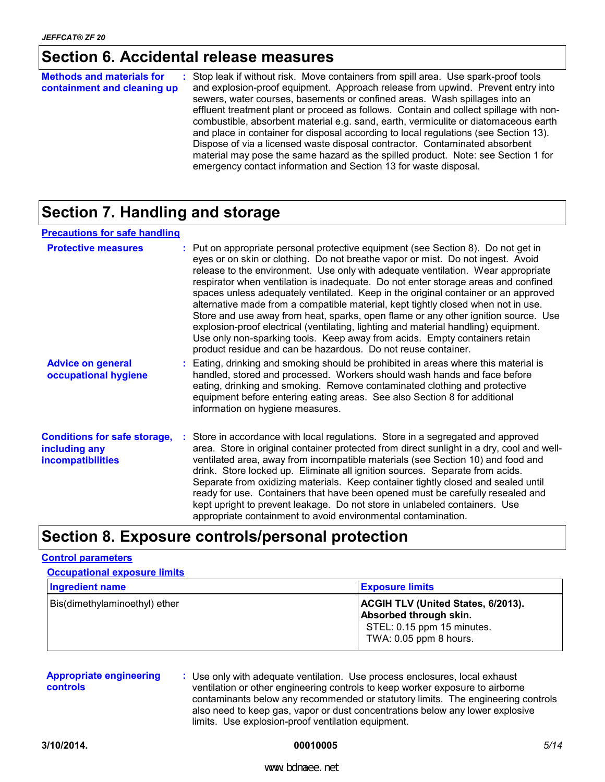### **Section 6. Accidental release measures**

| <b>Methods and materials for</b><br>containment and cleaning up | : Stop leak if without risk. Move containers from spill area. Use spark-proof tools<br>and explosion-proof equipment. Approach release from upwind. Prevent entry into<br>sewers, water courses, basements or confined areas. Wash spillages into an<br>effluent treatment plant or proceed as follows. Contain and collect spillage with non-<br>combustible, absorbent material e.g. sand, earth, vermiculite or diatomaceous earth<br>and place in container for disposal according to local regulations (see Section 13).<br>Dispose of via a licensed waste disposal contractor. Contaminated absorbent<br>material may pose the same hazard as the spilled product. Note: see Section 1 for<br>emergency contact information and Section 13 for waste disposal. |
|-----------------------------------------------------------------|-----------------------------------------------------------------------------------------------------------------------------------------------------------------------------------------------------------------------------------------------------------------------------------------------------------------------------------------------------------------------------------------------------------------------------------------------------------------------------------------------------------------------------------------------------------------------------------------------------------------------------------------------------------------------------------------------------------------------------------------------------------------------|
|-----------------------------------------------------------------|-----------------------------------------------------------------------------------------------------------------------------------------------------------------------------------------------------------------------------------------------------------------------------------------------------------------------------------------------------------------------------------------------------------------------------------------------------------------------------------------------------------------------------------------------------------------------------------------------------------------------------------------------------------------------------------------------------------------------------------------------------------------------|

### **Section 7. Handling and storage**

| <b>Precautions for safe handling</b>                                      |                                                                                                                                                                                                                                                                                                                                                                                                                                                                                                                                                                                                                                                                                                                                                                                                                                                       |
|---------------------------------------------------------------------------|-------------------------------------------------------------------------------------------------------------------------------------------------------------------------------------------------------------------------------------------------------------------------------------------------------------------------------------------------------------------------------------------------------------------------------------------------------------------------------------------------------------------------------------------------------------------------------------------------------------------------------------------------------------------------------------------------------------------------------------------------------------------------------------------------------------------------------------------------------|
| <b>Protective measures</b>                                                | : Put on appropriate personal protective equipment (see Section 8). Do not get in<br>eyes or on skin or clothing. Do not breathe vapor or mist. Do not ingest. Avoid<br>release to the environment. Use only with adequate ventilation. Wear appropriate<br>respirator when ventilation is inadequate. Do not enter storage areas and confined<br>spaces unless adequately ventilated. Keep in the original container or an approved<br>alternative made from a compatible material, kept tightly closed when not in use.<br>Store and use away from heat, sparks, open flame or any other ignition source. Use<br>explosion-proof electrical (ventilating, lighting and material handling) equipment.<br>Use only non-sparking tools. Keep away from acids. Empty containers retain<br>product residue and can be hazardous. Do not reuse container. |
| <b>Advice on general</b><br>occupational hygiene                          | : Eating, drinking and smoking should be prohibited in areas where this material is<br>handled, stored and processed. Workers should wash hands and face before<br>eating, drinking and smoking. Remove contaminated clothing and protective<br>equipment before entering eating areas. See also Section 8 for additional<br>information on hygiene measures.                                                                                                                                                                                                                                                                                                                                                                                                                                                                                         |
| <b>Conditions for safe storage,</b><br>including any<br>incompatibilities | : Store in accordance with local regulations. Store in a segregated and approved<br>area. Store in original container protected from direct sunlight in a dry, cool and well-<br>ventilated area, away from incompatible materials (see Section 10) and food and<br>drink. Store locked up. Eliminate all ignition sources. Separate from acids.<br>Separate from oxidizing materials. Keep container tightly closed and sealed until<br>ready for use. Containers that have been opened must be carefully resealed and<br>kept upright to prevent leakage. Do not store in unlabeled containers. Use<br>appropriate containment to avoid environmental contamination.                                                                                                                                                                                |

### **Section 8. Exposure controls/personal protection**

#### **Control parameters**

| <b>Occupational exposure limits</b> |                                                                                                                             |  |  |
|-------------------------------------|-----------------------------------------------------------------------------------------------------------------------------|--|--|
| <b>Ingredient name</b>              | <b>Exposure limits</b>                                                                                                      |  |  |
| Bis(dimethylaminoethyl) ether       | <b>ACGIH TLV (United States, 6/2013).</b><br>Absorbed through skin.<br>STEL: 0.15 ppm 15 minutes.<br>TWA: 0.05 ppm 8 hours. |  |  |

| <b>Appropriate engineering</b><br><b>controls</b> | : Use only with adequate ventilation. Use process enclosures, local exhaust<br>ventilation or other engineering controls to keep worker exposure to airborne |
|---------------------------------------------------|--------------------------------------------------------------------------------------------------------------------------------------------------------------|
|                                                   | contaminants below any recommended or statutory limits. The engineering controls                                                                             |
|                                                   | also need to keep gas, vapor or dust concentrations below any lower explosive                                                                                |
|                                                   | limits. Use explosion-proof ventilation equipment.                                                                                                           |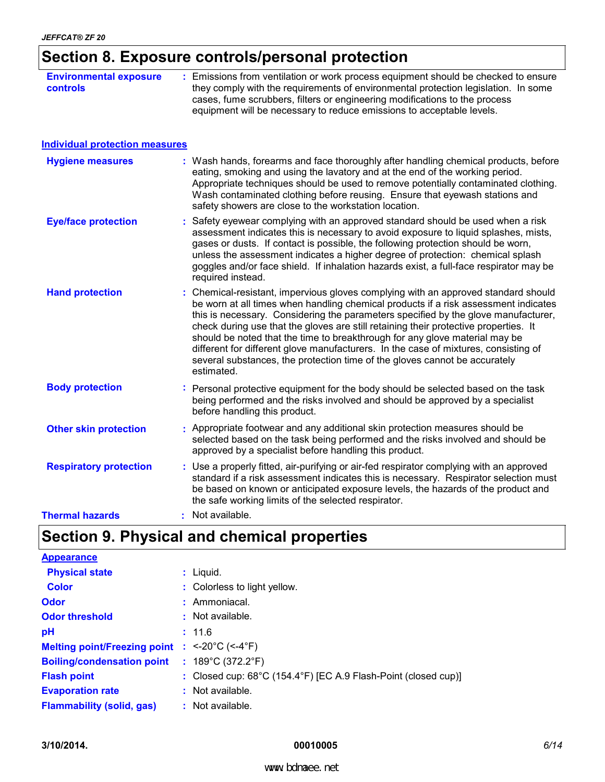### **Section 8. Exposure controls/personal protection**

| <b>Environmental exposure</b><br>controls | : Emissions from ventilation or work process equipment should be checked to ensure<br>they comply with the requirements of environmental protection legislation. In some<br>cases, fume scrubbers, filters or engineering modifications to the process<br>equipment will be necessary to reduce emissions to acceptable levels.                                                                                                                                                                                                                                                                                           |
|-------------------------------------------|---------------------------------------------------------------------------------------------------------------------------------------------------------------------------------------------------------------------------------------------------------------------------------------------------------------------------------------------------------------------------------------------------------------------------------------------------------------------------------------------------------------------------------------------------------------------------------------------------------------------------|
| <b>Individual protection measures</b>     |                                                                                                                                                                                                                                                                                                                                                                                                                                                                                                                                                                                                                           |
| <b>Hygiene measures</b>                   | : Wash hands, forearms and face thoroughly after handling chemical products, before<br>eating, smoking and using the lavatory and at the end of the working period.<br>Appropriate techniques should be used to remove potentially contaminated clothing.<br>Wash contaminated clothing before reusing. Ensure that eyewash stations and<br>safety showers are close to the workstation location.                                                                                                                                                                                                                         |
| <b>Eye/face protection</b>                | Safety eyewear complying with an approved standard should be used when a risk<br>assessment indicates this is necessary to avoid exposure to liquid splashes, mists,<br>gases or dusts. If contact is possible, the following protection should be worn,<br>unless the assessment indicates a higher degree of protection: chemical splash<br>goggles and/or face shield. If inhalation hazards exist, a full-face respirator may be<br>required instead.                                                                                                                                                                 |
| <b>Hand protection</b>                    | : Chemical-resistant, impervious gloves complying with an approved standard should<br>be worn at all times when handling chemical products if a risk assessment indicates<br>this is necessary. Considering the parameters specified by the glove manufacturer,<br>check during use that the gloves are still retaining their protective properties. It<br>should be noted that the time to breakthrough for any glove material may be<br>different for different glove manufacturers. In the case of mixtures, consisting of<br>several substances, the protection time of the gloves cannot be accurately<br>estimated. |
| <b>Body protection</b>                    | : Personal protective equipment for the body should be selected based on the task<br>being performed and the risks involved and should be approved by a specialist<br>before handling this product.                                                                                                                                                                                                                                                                                                                                                                                                                       |
| <b>Other skin protection</b>              | : Appropriate footwear and any additional skin protection measures should be<br>selected based on the task being performed and the risks involved and should be<br>approved by a specialist before handling this product.                                                                                                                                                                                                                                                                                                                                                                                                 |
| <b>Respiratory protection</b>             | : Use a properly fitted, air-purifying or air-fed respirator complying with an approved<br>standard if a risk assessment indicates this is necessary. Respirator selection must<br>be based on known or anticipated exposure levels, the hazards of the product and<br>the safe working limits of the selected respirator.                                                                                                                                                                                                                                                                                                |
| <b>Thermal hazards</b>                    | : Not available.                                                                                                                                                                                                                                                                                                                                                                                                                                                                                                                                                                                                          |

### **Section 9. Physical and chemical properties**

| <b>Appearance</b>                   |                                                                |
|-------------------------------------|----------------------------------------------------------------|
| <b>Physical state</b>               | $:$ Liquid.                                                    |
| <b>Color</b>                        | : Colorless to light yellow.                                   |
| <b>Odor</b>                         | : Ammoniacal.                                                  |
| <b>Odor threshold</b>               | $\cdot$ Not available.                                         |
| pH                                  | : 11.6                                                         |
| <b>Melting point/Freezing point</b> | : $<20^{\circ}$ C ( $<4^{\circ}$ F)                            |
| <b>Boiling/condensation point</b>   | : $189^{\circ}$ C (372.2 $^{\circ}$ F)                         |
| <b>Flash point</b>                  | : Closed cup: 68°C (154.4°F) [EC A.9 Flash-Point (closed cup)] |
| <b>Evaporation rate</b>             | : Not available.                                               |
| <b>Flammability (solid, gas)</b>    | : Not available.                                               |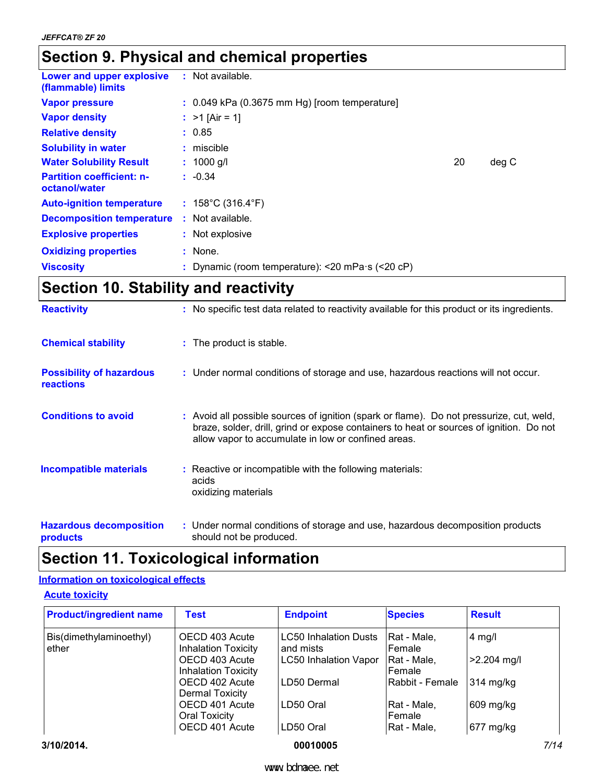### **Section 9. Physical and chemical properties**

| Lower and upper explosive<br>(flammable) limits   | : Not available.                                                |    |       |
|---------------------------------------------------|-----------------------------------------------------------------|----|-------|
| <b>Vapor pressure</b>                             | $: 0.049$ kPa (0.3675 mm Hg) [room temperature]                 |    |       |
| <b>Vapor density</b>                              | : $>1$ [Air = 1]                                                |    |       |
| <b>Relative density</b>                           | : 0.85                                                          |    |       |
| <b>Solubility in water</b>                        | $:$ miscible                                                    |    |       |
| <b>Water Solubility Result</b>                    | $: 1000$ g/l                                                    | 20 | deg C |
| <b>Partition coefficient: n-</b><br>octanol/water | $: -0.34$                                                       |    |       |
| <b>Auto-ignition temperature</b>                  | : $158^{\circ}$ C (316.4 $^{\circ}$ F)                          |    |       |
| <b>Decomposition temperature</b>                  | $:$ Not available.                                              |    |       |
| <b>Explosive properties</b>                       | : Not explosive                                                 |    |       |
| <b>Oxidizing properties</b>                       | $:$ None.                                                       |    |       |
| <b>Viscosity</b>                                  | : Dynamic (room temperature): $<$ 20 mPa $\cdot$ s ( $<$ 20 cP) |    |       |

### **Section 10. Stability and reactivity**

| <b>Reactivity</b>                                   | : No specific test data related to reactivity available for this product or its ingredients.                                                                                                                                               |
|-----------------------------------------------------|--------------------------------------------------------------------------------------------------------------------------------------------------------------------------------------------------------------------------------------------|
| <b>Chemical stability</b>                           | : The product is stable.                                                                                                                                                                                                                   |
| <b>Possibility of hazardous</b><br><b>reactions</b> | : Under normal conditions of storage and use, hazardous reactions will not occur.                                                                                                                                                          |
| <b>Conditions to avoid</b>                          | : Avoid all possible sources of ignition (spark or flame). Do not pressurize, cut, weld,<br>braze, solder, drill, grind or expose containers to heat or sources of ignition. Do not<br>allow vapor to accumulate in low or confined areas. |
| <b>Incompatible materials</b>                       | : Reactive or incompatible with the following materials:<br>acids<br>oxidizing materials                                                                                                                                                   |
| <b>Hazardous decomposition</b>                      | : Under normal conditions of storage and use, hazardous decomposition products                                                                                                                                                             |

should not be produced. **products**

### **Section 11. Toxicological information**

#### **Information on toxicological effects**

#### **Acute toxicity**

| <b>Product/ingredient name</b>   | Test                                         | <b>Endpoint</b>                           | <b>Species</b>         | <b>Result</b> |
|----------------------------------|----------------------------------------------|-------------------------------------------|------------------------|---------------|
| Bis(dimethylaminoethyl)<br>ether | OECD 403 Acute<br><b>Inhalation Toxicity</b> | <b>LC50 Inhalation Dusts</b><br>and mists | IRat - Male.<br>Female | $4$ mg/l      |
|                                  | OECD 403 Acute<br><b>Inhalation Toxicity</b> | <b>LC50 Inhalation Vapor</b>              | Rat - Male,<br>Female  | $>2.204$ mg/l |
|                                  | OECD 402 Acute<br>Dermal Toxicity            | LD50 Dermal                               | Rabbit - Female        | 314 mg/kg     |
|                                  | OECD 401 Acute<br><b>Oral Toxicity</b>       | LD50 Oral                                 | Rat - Male,<br>Female  | 609 mg/kg     |
|                                  | OECD 401 Acute                               | LD50 Oral                                 | Rat - Male,            | 677 mg/kg     |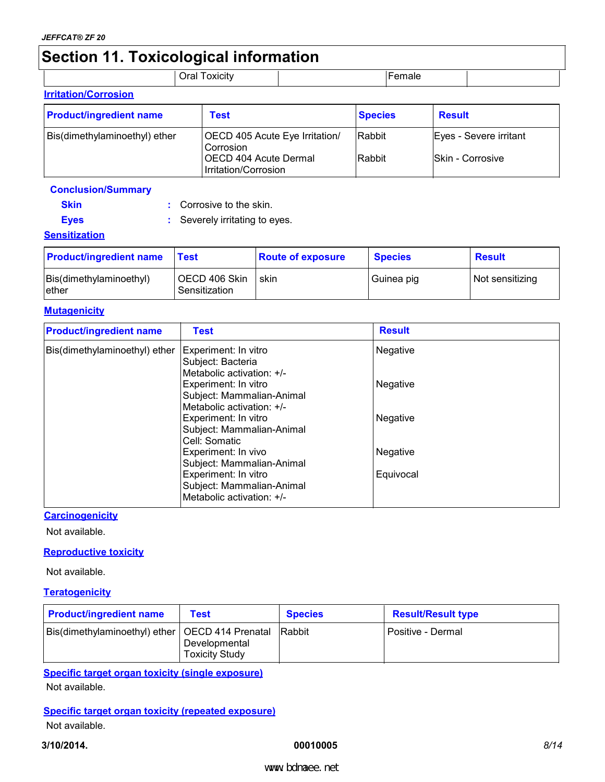### **Section 11. Toxicological information**

|                             | Oral Toxicity | amale |  |
|-----------------------------|---------------|-------|--|
| <b>Irritation/Corrosion</b> |               |       |  |

| <u>IIIII AUVIII VUITUSIVII</u> |                                               |                |                        |  |  |
|--------------------------------|-----------------------------------------------|----------------|------------------------|--|--|
| <b>Product/ingredient name</b> | <b>Test</b>                                   | <b>Species</b> | <b>Result</b>          |  |  |
| Bis(dimethylaminoethyl) ether  | OECD 405 Acute Eye Irritation/<br>Corrosion   | Rabbit         | Eyes - Severe irritant |  |  |
|                                | OECD 404 Acute Dermal<br>Irritation/Corrosion | Rabbit         | Skin - Corrosive       |  |  |

#### **Conclusion/Summary**

| Skin | : Corrosive to the skin. |
|------|--------------------------|
|------|--------------------------|

**Eyes :** Severely irritating to eyes.

#### **Sensitization**

| <b>Product/ingredient name</b>    | Test                             | <b>Route of exposure</b> | <b>Species</b> | <b>Result</b>   |
|-----------------------------------|----------------------------------|--------------------------|----------------|-----------------|
| Bis(dimethylaminoethyl)<br>lether | ∣ OECD 406 Skin<br>Sensitization | skin                     | Guinea pig     | Not sensitizing |

#### **Mutagenicity**

| <b>Product/ingredient name</b> | <b>Test</b>                                                                    | <b>Result</b> |
|--------------------------------|--------------------------------------------------------------------------------|---------------|
| Bis(dimethylaminoethyl) ether  | Experiment: In vitro<br>Subject: Bacteria<br>Metabolic activation: +/-         | Negative      |
|                                | Experiment: In vitro<br>Subject: Mammalian-Animal<br>Metabolic activation: +/- | Negative      |
|                                | Experiment: In vitro<br>Subject: Mammalian-Animal<br>Cell: Somatic             | Negative      |
|                                | Experiment: In vivo<br>Subject: Mammalian-Animal                               | Negative      |
|                                | Experiment: In vitro<br>Subject: Mammalian-Animal<br>Metabolic activation: +/- | Equivocal     |

#### **Carcinogenicity**

Not available.

#### **Reproductive toxicity**

Not available.

#### **Teratogenicity**

| <b>Product/ingredient name</b>                    | <b>Test</b>                            | <b>Species</b> | <b>Result/Result type</b> |
|---------------------------------------------------|----------------------------------------|----------------|---------------------------|
| Bis(dimethylaminoethyl) ether   OECD 414 Prenatal | Developmental<br><b>Toxicity Study</b> | <b>Rabbit</b>  | Positive - Dermal         |

#### **Specific target organ toxicity (single exposure)** Not available.

#### **Specific target organ toxicity (repeated exposure)** Not available.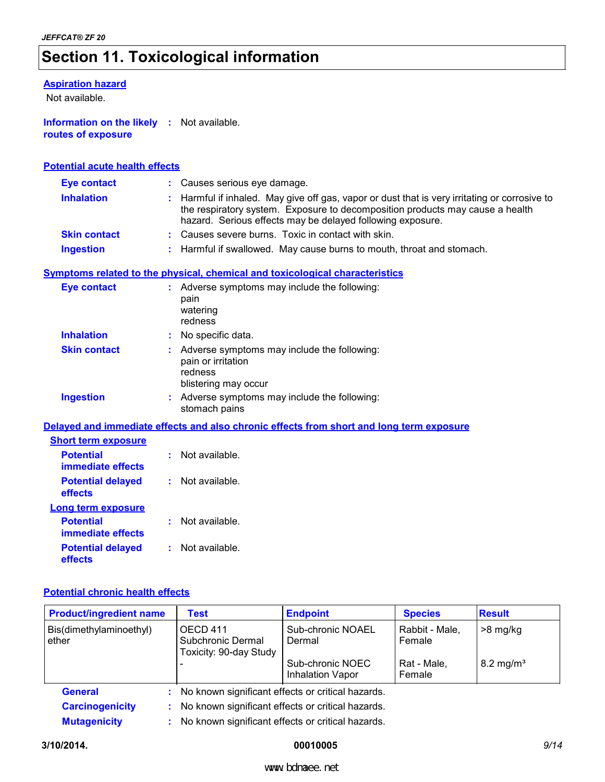### **Section 11. Toxicological information**

#### **Aspiration hazard**

Not available.

**Information on the likely :** Not available. **routes of exposure**

#### **Potential acute health effects**

| <b>Eye contact</b>  | : Causes serious eye damage.                                                                                                                                                                                                                 |
|---------------------|----------------------------------------------------------------------------------------------------------------------------------------------------------------------------------------------------------------------------------------------|
| <b>Inhalation</b>   | : Harmful if inhaled. May give off gas, vapor or dust that is very irritating or corrosive to<br>the respiratory system. Exposure to decomposition products may cause a health<br>hazard. Serious effects may be delayed following exposure. |
| <b>Skin contact</b> | : Causes severe burns. Toxic in contact with skin.                                                                                                                                                                                           |
| <b>Ingestion</b>    | : Harmful if swallowed. May cause burns to mouth, throat and stomach.                                                                                                                                                                        |

#### **Symptoms related to the physical, chemical and toxicological characteristics**

| <b>Eye contact</b>  | Adverse symptoms may include the following:<br>pain<br>watering<br>redness                           |
|---------------------|------------------------------------------------------------------------------------------------------|
| <b>Inhalation</b>   | No specific data.                                                                                    |
| <b>Skin contact</b> | Adverse symptoms may include the following:<br>pain or irritation<br>redness<br>blistering may occur |
| <b>Ingestion</b>    | Adverse symptoms may include the following:<br>stomach pains                                         |

**Delayed and immediate effects and also chronic effects from short and long term exposure**

| <b>Short term exposure</b>            |                |
|---------------------------------------|----------------|
| <b>Potential</b><br>immediate effects | Not available. |
| <b>Potential delayed</b><br>effects   | Not available. |
| Long term exposure                    |                |
| <b>Potential</b><br>immediate effects | Not available. |
| <b>Potential delayed</b><br>effects   | Not available. |

#### **Potential chronic health effects**

| <b>Product/ingredient name</b>   | Test                                                    | <b>Endpoint</b>                                     | <b>Species</b>           | <b>Result</b>        |  |  |
|----------------------------------|---------------------------------------------------------|-----------------------------------------------------|--------------------------|----------------------|--|--|
| Bis(dimethylaminoethyl)<br>ether | OECD 411<br>Subchronic Dermal<br>Toxicity: 90-day Study | Sub-chronic NOAEL<br>Dermal                         | Rabbit - Male,<br>Female | $>8$ mg/kg           |  |  |
|                                  |                                                         | Sub-chronic NOEC<br>Inhalation Vapor                | Rat - Male,<br>Female    | $8.2 \text{ mg/m}^3$ |  |  |
| <b>General</b>                   |                                                         | : No known significant effects or critical hazards. |                          |                      |  |  |
| <b>Carcinogenicity</b>           | No known significant effects or critical hazards.       |                                                     |                          |                      |  |  |
| <b>Mutagenicity</b><br>÷         |                                                         | No known significant effects or critical hazards.   |                          |                      |  |  |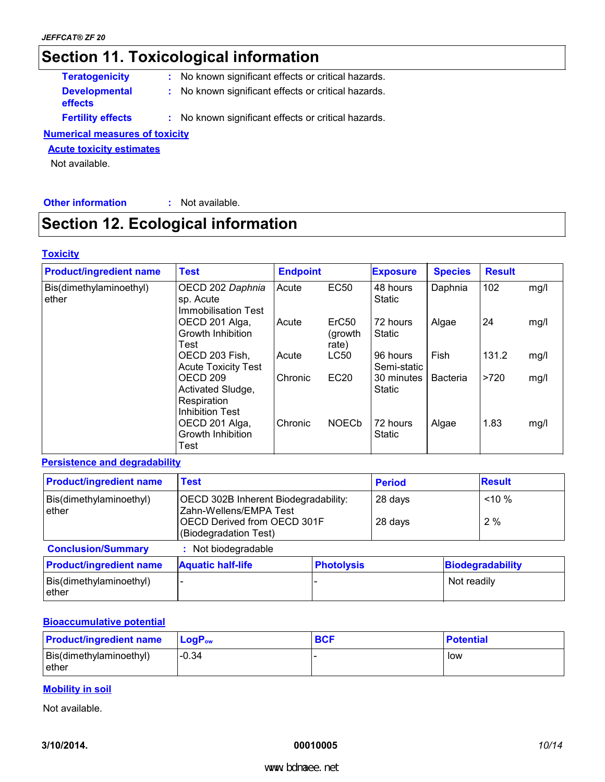### **Section 11. Toxicological information**

| <b>Teratogenicity</b>           | : No known significant effects or critical hazards. |  |
|---------------------------------|-----------------------------------------------------|--|
| <b>Developmental</b><br>effects | : No known significant effects or critical hazards. |  |
| <b>Fertility effects</b>        | : No known significant effects or critical hazards. |  |

#### **Numerical measures of toxicity**

#### **Acute toxicity estimates**

Not available.

#### **Other information :** Not available.

### **Section 12. Ecological information**

#### **Toxicity**

| <b>Product/ingredient name</b>   | <b>Test</b>                                                                       | <b>Endpoint</b> |                                       | <b>Exposure</b>             | <b>Species</b>  | <b>Result</b> |      |
|----------------------------------|-----------------------------------------------------------------------------------|-----------------|---------------------------------------|-----------------------------|-----------------|---------------|------|
| Bis(dimethylaminoethyl)<br>ether | OECD 202 Daphnia<br>sp. Acute<br><b>Immobilisation Test</b>                       | Acute           | EC50                                  | 48 hours<br>Static          | Daphnia         | 102           | mg/l |
|                                  | OECD 201 Alga,<br>Growth Inhibition<br>Test                                       | Acute           | ErC <sub>50</sub><br>(growth<br>rate) | 72 hours<br><b>Static</b>   | Algae           | 24            | mg/l |
|                                  | OECD 203 Fish,<br><b>Acute Toxicity Test</b>                                      | Acute           | <b>LC50</b>                           | 96 hours<br>Semi-static     | Fish            | 131.2         | mg/l |
|                                  | OECD <sub>209</sub><br>Activated Sludge,<br>Respiration<br><b>Inhibition Test</b> | Chronic         | <b>EC20</b>                           | 30 minutes<br><b>Static</b> | <b>Bacteria</b> | >720          | mg/l |
|                                  | OECD 201 Alga,<br>Growth Inhibition<br>Test                                       | Chronic         | <b>NOECb</b>                          | 72 hours<br><b>Static</b>   | Algae           | 1.83          | mg/l |

#### **Persistence and degradability**

| <b>Product/ingredient name</b>    | <b>Test</b>                                                                                                            | <b>Period</b>     |                    | <b>Result</b> |                         |
|-----------------------------------|------------------------------------------------------------------------------------------------------------------------|-------------------|--------------------|---------------|-------------------------|
| Bis(dimethylaminoethyl)<br>ether  | OECD 302B Inherent Biodegradability:<br>Zahn-Wellens/EMPA Test<br>OECD Derived from OECD 301F<br>(Biodegradation Test) |                   | 28 days<br>28 days |               | $< 10 \%$<br>2%         |
| <b>Conclusion/Summary</b>         | : Not biodegradable                                                                                                    |                   |                    |               |                         |
| <b>Product/ingredient name</b>    | <b>Aquatic half-life</b>                                                                                               | <b>Photolysis</b> |                    |               | <b>Biodegradability</b> |
| Bis(dimethylaminoethyl)<br>lether |                                                                                                                        |                   |                    | Not readily   |                         |

#### **Bioaccumulative potential**

| <b>Product/ingredient name</b>    | ∣ LoqP <sub>ow</sub> | <b>BCF</b> | <b>Potential</b> |
|-----------------------------------|----------------------|------------|------------------|
| Bis(dimethylaminoethyl)<br>lether | $-0.34$              |            | low              |

#### **Mobility in soil**

Not available.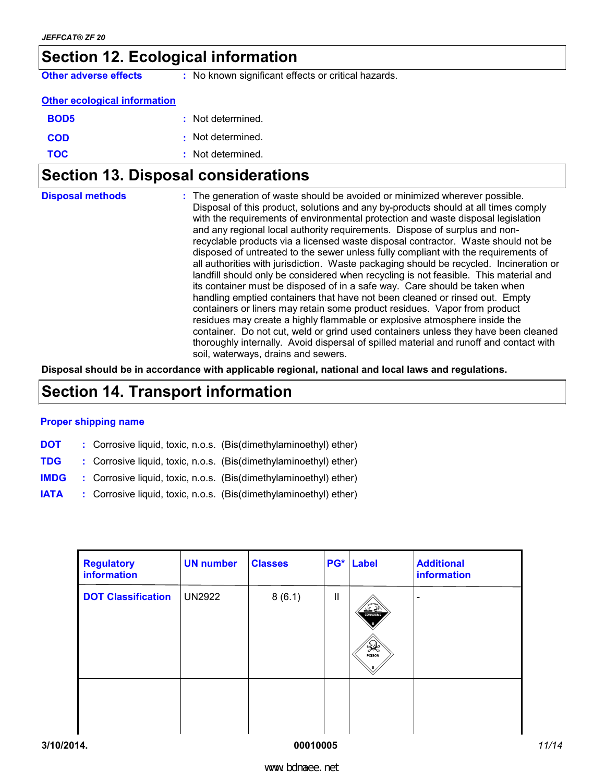### **Section 12. Ecological information**

**Other adverse effects** : No known significant effects or critical hazards.

#### **Other ecological information**

| <b>BOD5</b> | : Not determined. |
|-------------|-------------------|
| <b>COD</b>  | : Not determined. |
| <b>TOC</b>  | : Not determined. |

### **Section 13. Disposal considerations**

| <b>Disposal methods</b> | : The generation of waste should be avoided or minimized wherever possible.<br>Disposal of this product, solutions and any by-products should at all times comply<br>with the requirements of environmental protection and waste disposal legislation<br>and any regional local authority requirements. Dispose of surplus and non-<br>recyclable products via a licensed waste disposal contractor. Waste should not be<br>disposed of untreated to the sewer unless fully compliant with the requirements of<br>all authorities with jurisdiction. Waste packaging should be recycled. Incineration or<br>landfill should only be considered when recycling is not feasible. This material and<br>its container must be disposed of in a safe way. Care should be taken when<br>handling emptied containers that have not been cleaned or rinsed out. Empty<br>containers or liners may retain some product residues. Vapor from product<br>residues may create a highly flammable or explosive atmosphere inside the<br>container. Do not cut, weld or grind used containers unless they have been cleaned |
|-------------------------|---------------------------------------------------------------------------------------------------------------------------------------------------------------------------------------------------------------------------------------------------------------------------------------------------------------------------------------------------------------------------------------------------------------------------------------------------------------------------------------------------------------------------------------------------------------------------------------------------------------------------------------------------------------------------------------------------------------------------------------------------------------------------------------------------------------------------------------------------------------------------------------------------------------------------------------------------------------------------------------------------------------------------------------------------------------------------------------------------------------|
|                         | thoroughly internally. Avoid dispersal of spilled material and runoff and contact with<br>soil, waterways, drains and sewers.                                                                                                                                                                                                                                                                                                                                                                                                                                                                                                                                                                                                                                                                                                                                                                                                                                                                                                                                                                                 |

**Disposal should be in accordance with applicable regional, national and local laws and regulations.**

### **Section 14. Transport information**

#### **Proper shipping name**

- **DOT** : Corrosive liquid, toxic, n.o.s. (Bis(dimethylaminoethyl) ether)
- **TDG :** Corrosive liquid, toxic, n.o.s. (Bis(dimethylaminoethyl) ether)
- **IMDG :** Corrosive liquid, toxic, n.o.s. (Bis(dimethylaminoethyl) ether)
- **IATA :** Corrosive liquid, toxic, n.o.s. (Bis(dimethylaminoethyl) ether)

| <b>Regulatory</b><br>information | <b>UN number</b> | <b>Classes</b> |              | <b>PG*</b> Label                        | <b>Additional</b><br>information |
|----------------------------------|------------------|----------------|--------------|-----------------------------------------|----------------------------------|
| <b>DOT Classification</b>        | <b>UN2922</b>    | 8(6.1)         | $\mathbf{I}$ | ≚≝<br>CORROSIVE<br>$\frac{1}{\sqrt{2}}$ |                                  |
|                                  |                  |                |              |                                         |                                  |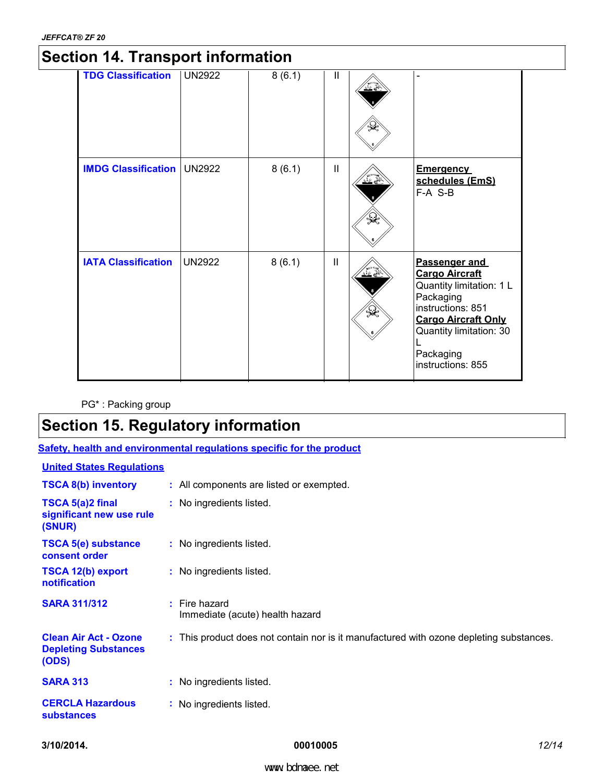### **Section 14. Transport information**

| <b>TDG Classification</b>  | <b>UN2922</b> | 8(6.1) | $\mathbf{I}$ | لمنا          |                                                                                                                                                                                                        |  |
|----------------------------|---------------|--------|--------------|---------------|--------------------------------------------------------------------------------------------------------------------------------------------------------------------------------------------------------|--|
| <b>IMDG Classification</b> | <b>UN2922</b> | 8(6.1) | $\mathbf{I}$ | $\frac{1}{2}$ | <b>Emergency</b><br>schedules (EmS)<br>F-A S-B                                                                                                                                                         |  |
| <b>IATA Classification</b> | <b>UN2922</b> | 8(6.1) | Ш            | $\mathbb{R}$  | <b>Passenger and</b><br><b>Cargo Aircraft</b><br>Quantity limitation: 1 L<br>Packaging<br>instructions: 851<br><b>Cargo Aircraft Only</b><br>Quantity limitation: 30<br>Packaging<br>instructions: 855 |  |

PG\* : Packing group

### **Section 15. Regulatory information**

**Safety, health and environmental regulations specific for the product**

#### **United States Regulations**

| <b>TSCA 8(b) inventory</b>                                           | : All components are listed or exempted.                                                |
|----------------------------------------------------------------------|-----------------------------------------------------------------------------------------|
| TSCA 5(a)2 final<br>significant new use rule<br>(SNUR)               | : No ingredients listed.                                                                |
| <b>TSCA 5(e) substance</b><br>consent order                          | : No ingredients listed.                                                                |
| <b>TSCA 12(b) export</b><br><b>notification</b>                      | : No ingredients listed.                                                                |
| <b>SARA 311/312</b>                                                  | $:$ Fire hazard<br>Immediate (acute) health hazard                                      |
| <b>Clean Air Act - Ozone</b><br><b>Depleting Substances</b><br>(ODS) | : This product does not contain nor is it manufactured with ozone depleting substances. |
| <b>SARA 313</b>                                                      | : No ingredients listed.                                                                |
| <b>CERCLA Hazardous</b><br><b>substances</b>                         | : No ingredients listed.                                                                |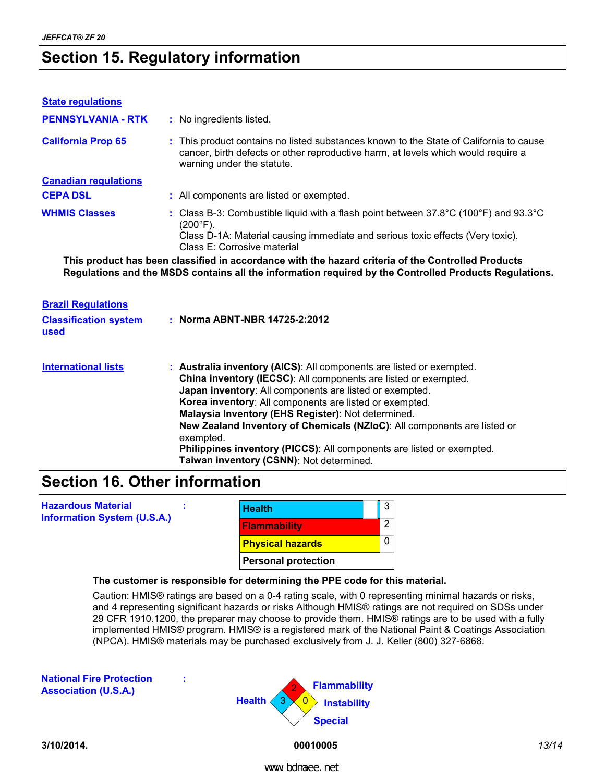### **Section 15. Regulatory information**

| <b>State regulations</b>             |                                                                                                                                                                                                                                                             |  |  |  |  |
|--------------------------------------|-------------------------------------------------------------------------------------------------------------------------------------------------------------------------------------------------------------------------------------------------------------|--|--|--|--|
| <b>PENNSYLVANIA - RTK</b>            | : No ingredients listed.                                                                                                                                                                                                                                    |  |  |  |  |
| <b>California Prop 65</b>            | : This product contains no listed substances known to the State of California to cause<br>cancer, birth defects or other reproductive harm, at levels which would require a<br>warning under the statute.                                                   |  |  |  |  |
| <b>Canadian regulations</b>          |                                                                                                                                                                                                                                                             |  |  |  |  |
| <b>CEPA DSL</b>                      | : All components are listed or exempted.                                                                                                                                                                                                                    |  |  |  |  |
| <b>WHMIS Classes</b>                 | : Class B-3: Combustible liquid with a flash point between $37.8^{\circ}$ C (100 $^{\circ}$ F) and 93.3 $^{\circ}$ C<br>$(200^{\circ}F)$ .<br>Class D-1A: Material causing immediate and serious toxic effects (Very toxic).<br>Class E: Corrosive material |  |  |  |  |
|                                      | This product has been classified in accordance with the hazard criteria of the Controlled Products<br>Regulations and the MSDS contains all the information required by the Controlled Products Regulations.                                                |  |  |  |  |
| <b>Brazil Requlations</b>            |                                                                                                                                                                                                                                                             |  |  |  |  |
| <b>Classification system</b><br>used | : Norma ABNT-NBR 14725-2:2012                                                                                                                                                                                                                               |  |  |  |  |
| <b>International lists</b>           | : Australia inventory (AICS): All components are listed or exempted.<br>China inventory (IECSC): All components are listed or exempted.<br>Japan inventory: All components are listed or exempted.                                                          |  |  |  |  |

### **Section 16. Other information**

| <b>Hazardous Material</b><br><b>Information System (U.S.A.)</b> |                            | <b>Health</b>                                                                             | 3 |  |
|-----------------------------------------------------------------|----------------------------|-------------------------------------------------------------------------------------------|---|--|
|                                                                 |                            | <b>Flammability</b>                                                                       | 2 |  |
|                                                                 |                            | <b>Physical hazards</b>                                                                   |   |  |
|                                                                 | <b>Personal protection</b> |                                                                                           |   |  |
|                                                                 |                            | The customer is responsible for determining the PPE code for this material.               |   |  |
|                                                                 |                            | Caution: HMIS® ratings are based on a 0-4 rating scale, with 0 representing minimal holds |   |  |

al hazards or risks, and 4 representing significant hazards or risks Although HMIS® ratings are not required on SDSs under 29 CFR 1910.1200, the preparer may choose to provide them. HMIS® ratings are to be used with a fully implemented HMIS® program. HMIS® is a registered mark of the National Paint & Coatings Association (NPCA). HMIS® materials may be purchased exclusively from J. J. Keller (800) 327-6868.